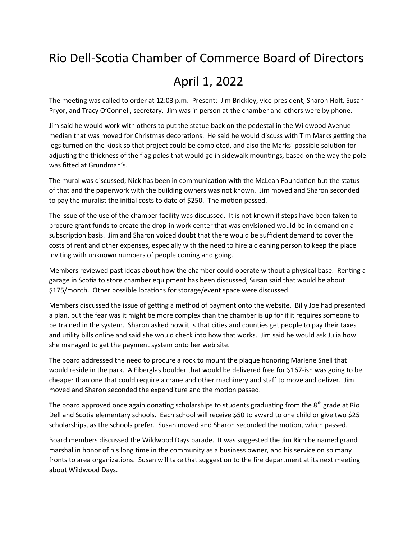## Rio Dell-Scotia Chamber of Commerce Board of Directors

## April 1, 2022

The meeting was called to order at 12:03 p.m. Present: Jim Brickley, vice-president; Sharon Holt, Susan Pryor, and Tracy O'Connell, secretary. Jim was in person at the chamber and others were by phone.

Jim said he would work with others to put the statue back on the pedestal in the Wildwood Avenue median that was moved for Christmas decorations. He said he would discuss with Tim Marks getting the legs turned on the kiosk so that project could be completed, and also the Marks' possible solution for adjusting the thickness of the flag poles that would go in sidewalk mountings, based on the way the pole was fitted at Grundman's.

The mural was discussed; Nick has been in communication with the McLean Foundation but the status of that and the paperwork with the building owners was not known. Jim moved and Sharon seconded to pay the muralist the initial costs to date of \$250. The motion passed.

The issue of the use of the chamber facility was discussed. It is not known if steps have been taken to procure grant funds to create the drop-in work center that was envisioned would be in demand on a subscription basis. Jim and Sharon voiced doubt that there would be sufficient demand to cover the costs of rent and other expenses, especially with the need to hire a cleaning person to keep the place inviting with unknown numbers of people coming and going.

Members reviewed past ideas about how the chamber could operate without a physical base. Renting a garage in Scotia to store chamber equipment has been discussed; Susan said that would be about \$175/month. Other possible locations for storage/event space were discussed.

Members discussed the issue of getting a method of payment onto the website. Billy Joe had presented a plan, but the fear was it might be more complex than the chamber is up for if it requires someone to be trained in the system. Sharon asked how it is that cities and counties get people to pay their taxes and utility bills online and said she would check into how that works. Jim said he would ask Julia how she managed to get the payment system onto her web site.

The board addressed the need to procure a rock to mount the plaque honoring Marlene Snell that would reside in the park. A Fiberglas boulder that would be delivered free for \$167-ish was going to be cheaper than one that could require a crane and other machinery and staff to move and deliver. Jim moved and Sharon seconded the expenditure and the motion passed.

The board approved once again donating scholarships to students graduating from the  $8<sup>th</sup>$  grade at Rio Dell and Scotia elementary schools. Each school will receive \$50 to award to one child or give two \$25 scholarships, as the schools prefer. Susan moved and Sharon seconded the motion, which passed.

Board members discussed the Wildwood Days parade. It was suggested the Jim Rich be named grand marshal in honor of his long time in the community as a business owner, and his service on so many fronts to area organizations. Susan will take that suggestion to the fire department at its next meeting about Wildwood Days.